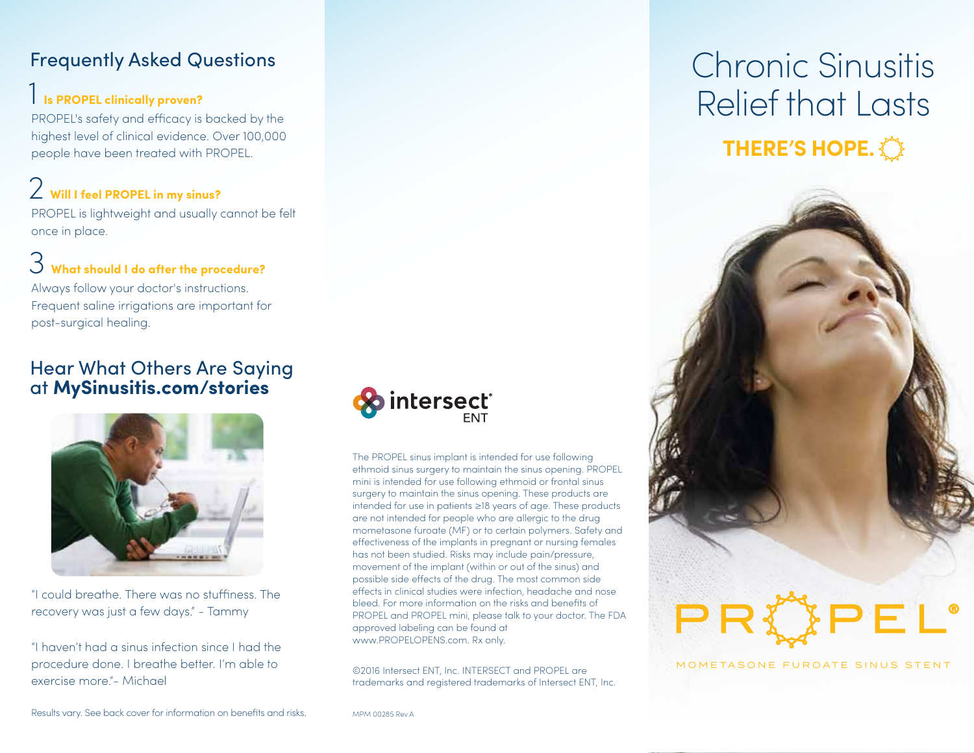#### Frequently Asked Questions

#### 1 **Is PROPEL clinically proven?**

PROPEL's safety and efficacy is backed by the highest level of clinical evidence. Over 100,000 people have been treated with PROPEL.

### 2 **Will I feel PROPEL in my sinus?**

PROPEL is lightweight and usually cannot be felt once in place.

## 3 **What should I do after the procedure?**

Always follow your doctor's instructions. Frequent saline irrigations are important for post-surgical healing.

#### Hear What Others Are Saying at **MySinusitis.com/stories**



"I could breathe. There was no stuffiness. The recovery was just a few days." - Tammy

"I haven't had a sinus infection since I had the procedure done. I breathe better. I'm able to exercise more."- Michael



The PROPEL sinus implant is intended for use following ethmoid sinus surgery to maintain the sinus opening. PROPEL mini is intended for use following ethmoid or frontal sinus surgery to maintain the sinus opening. These products are intended for use in patients ≥18 years of age. These products are not intended for people who are allergic to the drug mometasone furoate (MF) or to certain polymers. Safety and effectiveness of the implants in pregnant or nursing females has not been studied. Risks may include pain/pressure, movement of the implant (within or out of the sinus) and possible side effects of the drug. The most common side effects in clinical studies were infection, headache and nose bleed. For more information on the risks and benefits of PROPEL and PROPEL mini, please talk to your doctor. The FDA approved labeling can be found at www.PROPELOPENS.com. Rx only.

©2016 Intersect ENT, Inc. INTERSECT and PROPEL are trademarks and registered trademarks of Intersect ENT, Inc.

## Chronic Sinusitis Relief that Lasts **THERE'S HOPE.**



MOMETASONE FUROATE SINUS STENT